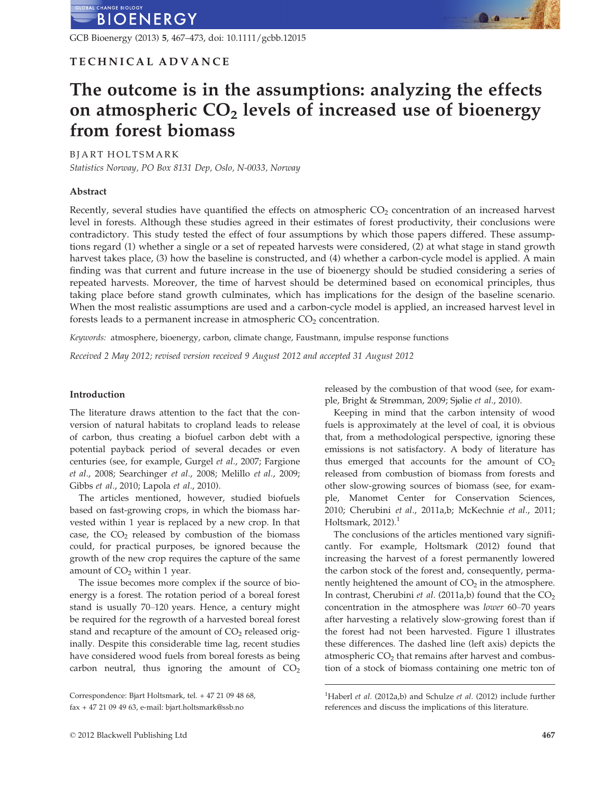GCB Bioenergy (2013) 5, 467–473, doi: 10.1111/gcbb.12015

## TECHNICAL ADVANCE

# The outcome is in the assumptions: analyzing the effects on atmospheric  $CO<sub>2</sub>$  levels of increased use of bioenergy from forest biomass

BJART HOLTSMARK

Statistics Norway, PO Box 8131 Dep, Oslo, N-0033, Norway

#### Abstract

Recently, several studies have quantified the effects on atmospheric CO<sub>2</sub> concentration of an increased harvest level in forests. Although these studies agreed in their estimates of forest productivity, their conclusions were contradictory. This study tested the effect of four assumptions by which those papers differed. These assumptions regard (1) whether a single or a set of repeated harvests were considered, (2) at what stage in stand growth harvest takes place, (3) how the baseline is constructed, and (4) whether a carbon-cycle model is applied. A main finding was that current and future increase in the use of bioenergy should be studied considering a series of repeated harvests. Moreover, the time of harvest should be determined based on economical principles, thus taking place before stand growth culminates, which has implications for the design of the baseline scenario. When the most realistic assumptions are used and a carbon-cycle model is applied, an increased harvest level in forests leads to a permanent increase in atmospheric  $CO<sub>2</sub>$  concentration.

Keywords: atmosphere, bioenergy, carbon, climate change, Faustmann, impulse response functions

Received 2 May 2012; revised version received 9 August 2012 and accepted 31 August 2012

#### Introduction

The literature draws attention to the fact that the conversion of natural habitats to cropland leads to release of carbon, thus creating a biofuel carbon debt with a potential payback period of several decades or even centuries (see, for example, Gurgel et al., 2007; Fargione et al., 2008; Searchinger et al., 2008; Melillo et al., 2009; Gibbs et al., 2010; Lapola et al., 2010).

The articles mentioned, however, studied biofuels based on fast-growing crops, in which the biomass harvested within 1 year is replaced by a new crop. In that case, the  $CO<sub>2</sub>$  released by combustion of the biomass could, for practical purposes, be ignored because the growth of the new crop requires the capture of the same amount of  $CO<sub>2</sub>$  within 1 year.

The issue becomes more complex if the source of bioenergy is a forest. The rotation period of a boreal forest stand is usually 70–120 years. Hence, a century might be required for the regrowth of a harvested boreal forest stand and recapture of the amount of  $CO<sub>2</sub>$  released originally. Despite this considerable time lag, recent studies have considered wood fuels from boreal forests as being carbon neutral, thus ignoring the amount of  $CO<sub>2</sub>$ 

© 2012 Blackwell Publishing Ltd 467

released by the combustion of that wood (see, for example, Bright & Strømman, 2009; Sjølie et al., 2010).

Keeping in mind that the carbon intensity of wood fuels is approximately at the level of coal, it is obvious that, from a methodological perspective, ignoring these emissions is not satisfactory. A body of literature has thus emerged that accounts for the amount of  $CO<sub>2</sub>$ released from combustion of biomass from forests and other slow-growing sources of biomass (see, for example, Manomet Center for Conservation Sciences, 2010; Cherubini et al., 2011a,b; McKechnie et al., 2011; Holtsmark,  $2012$ ).<sup>1</sup>

The conclusions of the articles mentioned vary significantly. For example, Holtsmark (2012) found that increasing the harvest of a forest permanently lowered the carbon stock of the forest and, consequently, permanently heightened the amount of  $CO<sub>2</sub>$  in the atmosphere. In contrast, Cherubini et al. (2011a,b) found that the  $CO<sub>2</sub>$ concentration in the atmosphere was lower 60–70 years after harvesting a relatively slow-growing forest than if the forest had not been harvested. Figure 1 illustrates these differences. The dashed line (left axis) depicts the atmospheric  $CO<sub>2</sub>$  that remains after harvest and combustion of a stock of biomass containing one metric ton of

Correspondence: Bjart Holtsmark, tel. + 47 21 09 48 68, fax + 47 21 09 49 63, e-mail: bjart.holtsmark@ssb.no

<sup>&</sup>lt;sup>1</sup>Haberl et al. (2012a,b) and Schulze et al. (2012) include further references and discuss the implications of this literature.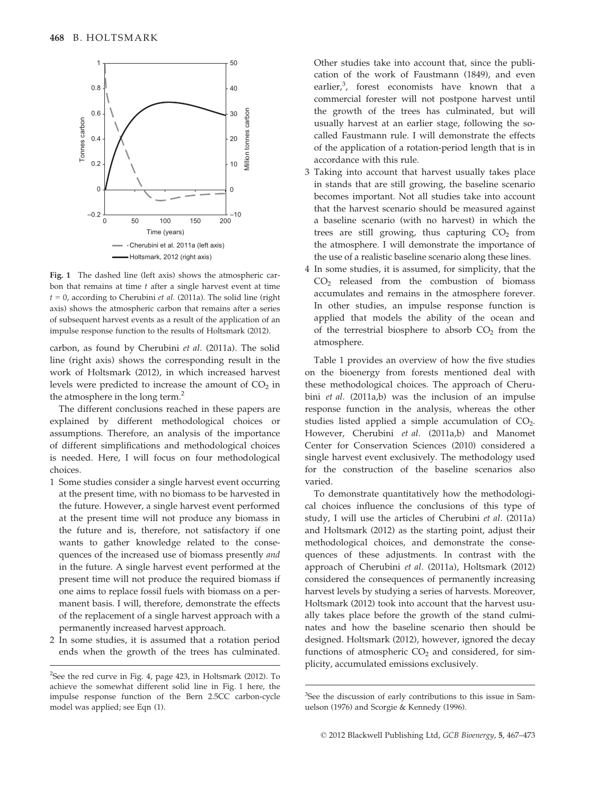

Fig. 1 The dashed line (left axis) shows the atmospheric carbon that remains at time  $t$  after a single harvest event at time  $t = 0$ , according to Cherubini *et al.* (2011a). The solid line (right axis) shows the atmospheric carbon that remains after a series of subsequent harvest events as a result of the application of an impulse response function to the results of Holtsmark (2012).

carbon, as found by Cherubini et al. (2011a). The solid line (right axis) shows the corresponding result in the work of Holtsmark (2012), in which increased harvest levels were predicted to increase the amount of  $CO<sub>2</sub>$  in the atmosphere in the long term.<sup>2</sup>

The different conclusions reached in these papers are explained by different methodological choices or assumptions. Therefore, an analysis of the importance of different simplifications and methodological choices is needed. Here, I will focus on four methodological choices.

- 1 Some studies consider a single harvest event occurring at the present time, with no biomass to be harvested in the future. However, a single harvest event performed at the present time will not produce any biomass in the future and is, therefore, not satisfactory if one wants to gather knowledge related to the consequences of the increased use of biomass presently and in the future. A single harvest event performed at the present time will not produce the required biomass if one aims to replace fossil fuels with biomass on a permanent basis. I will, therefore, demonstrate the effects of the replacement of a single harvest approach with a permanently increased harvest approach.
- 2 In some studies, it is assumed that a rotation period ends when the growth of the trees has culminated.

Other studies take into account that, since the publication of the work of Faustmann (1849), and even earlier, $3$ , forest economists have known that a commercial forester will not postpone harvest until the growth of the trees has culminated, but will usually harvest at an earlier stage, following the socalled Faustmann rule. I will demonstrate the effects of the application of a rotation-period length that is in accordance with this rule.

- 3 Taking into account that harvest usually takes place in stands that are still growing, the baseline scenario becomes important. Not all studies take into account that the harvest scenario should be measured against a baseline scenario (with no harvest) in which the trees are still growing, thus capturing  $CO<sub>2</sub>$  from the atmosphere. I will demonstrate the importance of the use of a realistic baseline scenario along these lines.
- 4 In some studies, it is assumed, for simplicity, that the  $CO<sub>2</sub>$  released from the combustion of biomass accumulates and remains in the atmosphere forever. In other studies, an impulse response function is applied that models the ability of the ocean and of the terrestrial biosphere to absorb  $CO<sub>2</sub>$  from the atmosphere.

Table 1 provides an overview of how the five studies on the bioenergy from forests mentioned deal with these methodological choices. The approach of Cherubini et al. (2011a,b) was the inclusion of an impulse response function in the analysis, whereas the other studies listed applied a simple accumulation of  $CO<sub>2</sub>$ . However, Cherubini et al. (2011a,b) and Manomet Center for Conservation Sciences (2010) considered a single harvest event exclusively. The methodology used for the construction of the baseline scenarios also varied.

To demonstrate quantitatively how the methodological choices influence the conclusions of this type of study, I will use the articles of Cherubini et al. (2011a) and Holtsmark (2012) as the starting point, adjust their methodological choices, and demonstrate the consequences of these adjustments. In contrast with the approach of Cherubini et al. (2011a), Holtsmark (2012) considered the consequences of permanently increasing harvest levels by studying a series of harvests. Moreover, Holtsmark (2012) took into account that the harvest usually takes place before the growth of the stand culminates and how the baseline scenario then should be designed. Holtsmark (2012), however, ignored the decay functions of atmospheric  $CO<sub>2</sub>$  and considered, for simplicity, accumulated emissions exclusively.

<sup>&</sup>lt;sup>2</sup>See the red curve in Fig. 4, page 423, in Holtsmark (2012). To achieve the somewhat different solid line in Fig. 1 here, the impulse response function of the Bern 2.5CC carbon-cycle model was applied; see Eqn (1).

<sup>&</sup>lt;sup>3</sup>See the discussion of early contributions to this issue in Samuelson (1976) and Scorgie & Kennedy (1996).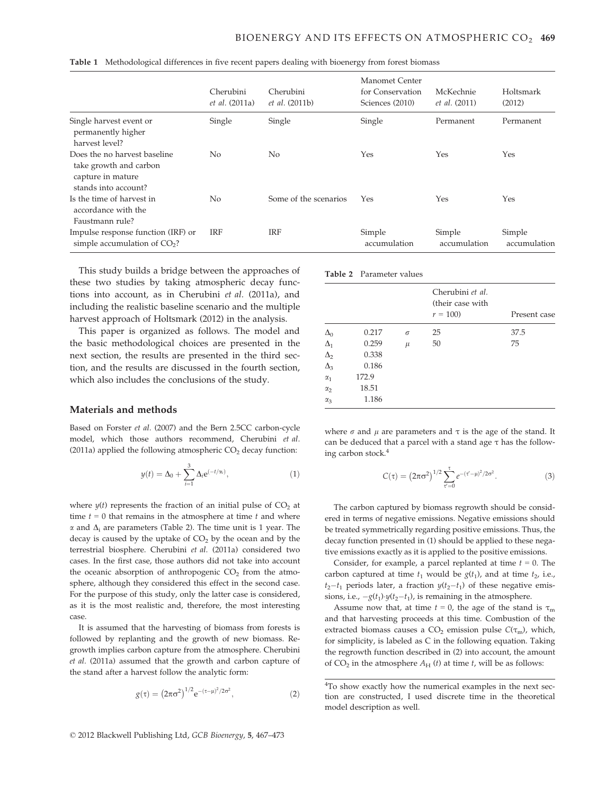|                                                                                                     | Cherubini<br><i>et al.</i> (2011a) | Cherubini<br><i>et al.</i> (2011b) | Manomet Center<br>for Conservation<br>Sciences (2010) | McKechnie<br><i>et al.</i> (2011) | Holtsmark<br>(2012)    |
|-----------------------------------------------------------------------------------------------------|------------------------------------|------------------------------------|-------------------------------------------------------|-----------------------------------|------------------------|
| Single harvest event or<br>permanently higher<br>harvest level?                                     | Single                             | Single                             | Single                                                | Permanent                         | Permanent              |
| Does the no harvest baseline<br>take growth and carbon<br>capture in mature<br>stands into account? | No                                 | No.                                | Yes                                                   | Yes                               | Yes                    |
| Is the time of harvest in<br>accordance with the<br>Faustmann rule?                                 | No                                 | Some of the scenarios              | Yes                                                   | Yes                               | Yes                    |
| Impulse response function (IRF) or<br>simple accumulation of $CO2$ ?                                | <b>IRF</b>                         | <b>IRF</b>                         | Simple<br>accumulation                                | Simple<br>accumulation            | Simple<br>accumulation |

|  |  | Table 1 Methodological differences in five recent papers dealing with bioenergy from forest biomass |  |  |  |  |  |
|--|--|-----------------------------------------------------------------------------------------------------|--|--|--|--|--|
|--|--|-----------------------------------------------------------------------------------------------------|--|--|--|--|--|

This study builds a bridge between the approaches of these two studies by taking atmospheric decay functions into account, as in Cherubini et al. (2011a), and including the realistic baseline scenario and the multiple harvest approach of Holtsmark (2012) in the analysis.

This paper is organized as follows. The model and the basic methodological choices are presented in the next section, the results are presented in the third section, and the results are discussed in the fourth section, which also includes the conclusions of the study.

#### Materials and methods

Based on Forster et al. (2007) and the Bern 2.5CC carbon-cycle model, which those authors recommend, Cherubini et al. (2011a) applied the following atmospheric  $CO<sub>2</sub>$  decay function:

$$
y(t) = \Delta_0 + \sum_{i=1}^{3} \Delta_i e^{(-t/\alpha_i)},
$$
\n(1)

where  $y(t)$  represents the fraction of an initial pulse of  $CO<sub>2</sub>$  at time  $t = 0$  that remains in the atmosphere at time  $t$  and where  $\alpha$  and  $\Delta_i$  are parameters (Table 2). The time unit is 1 year. The decay is caused by the uptake of  $CO<sub>2</sub>$  by the ocean and by the terrestrial biosphere. Cherubini et al. (2011a) considered two cases. In the first case, those authors did not take into account the oceanic absorption of anthropogenic  $CO<sub>2</sub>$  from the atmosphere, although they considered this effect in the second case. For the purpose of this study, only the latter case is considered, as it is the most realistic and, therefore, the most interesting case.

It is assumed that the harvesting of biomass from forests is followed by replanting and the growth of new biomass. Regrowth implies carbon capture from the atmosphere. Cherubini et al. (2011a) assumed that the growth and carbon capture of the stand after a harvest follow the analytic form:

$$
g(\tau) = (2\pi\sigma^2)^{1/2} e^{-(\tau-\mu)^2/2\sigma^2},
$$
 (2)

|            | <b>Table 2</b> Parameter values |          |                                                   |              |  |  |
|------------|---------------------------------|----------|---------------------------------------------------|--------------|--|--|
|            |                                 |          | Cherubini et al.<br>(their case with<br>$r = 100$ | Present case |  |  |
| $\Delta_0$ | 0.217                           | $\sigma$ | 25                                                | 37.5         |  |  |
| $\Delta_1$ | 0.259                           | $\mu$    | 50                                                | 75           |  |  |
| $\Delta_2$ | 0.338                           |          |                                                   |              |  |  |
| $\Delta_3$ | 0.186                           |          |                                                   |              |  |  |
| $\alpha_1$ | 172.9                           |          |                                                   |              |  |  |
| $\alpha_2$ | 18.51                           |          |                                                   |              |  |  |
| $\alpha_3$ | 1.186                           |          |                                                   |              |  |  |

where  $\sigma$  and  $\mu$  are parameters and  $\tau$  is the age of the stand. It can be deduced that a parcel with a stand age  $\tau$  has the following carbon stock.4

$$
C(\tau) = (2\pi\sigma^2)^{1/2} \sum_{\tau'=0}^{\tau} e^{-(\tau'-\mu)^2/2\sigma^2}.
$$
 (3)

The carbon captured by biomass regrowth should be considered in terms of negative emissions. Negative emissions should be treated symmetrically regarding positive emissions. Thus, the decay function presented in (1) should be applied to these negative emissions exactly as it is applied to the positive emissions.

Consider, for example, a parcel replanted at time  $t = 0$ . The carbon captured at time  $t_1$  would be  $g(t_1)$ , and at time  $t_2$ , i.e.,  $t_2-t_1$  periods later, a fraction  $y(t_2-t_1)$  of these negative emissions, i.e.,  $-g(t_1) \cdot y(t_2 - t_1)$ , is remaining in the atmosphere.

Assume now that, at time  $t = 0$ , the age of the stand is  $\tau_m$ and that harvesting proceeds at this time. Combustion of the extracted biomass causes a  $CO<sub>2</sub>$  emission pulse  $C(\tau_{\rm m})$ , which, for simplicity, is labeled as C in the following equation. Taking the regrowth function described in (2) into account, the amount of  $CO<sub>2</sub>$  in the atmosphere  $A<sub>H</sub>$  (t) at time t, will be as follows:

<sup>&</sup>lt;sup>4</sup>To show exactly how the numerical examples in the next section are constructed, I used discrete time in the theoretical model description as well.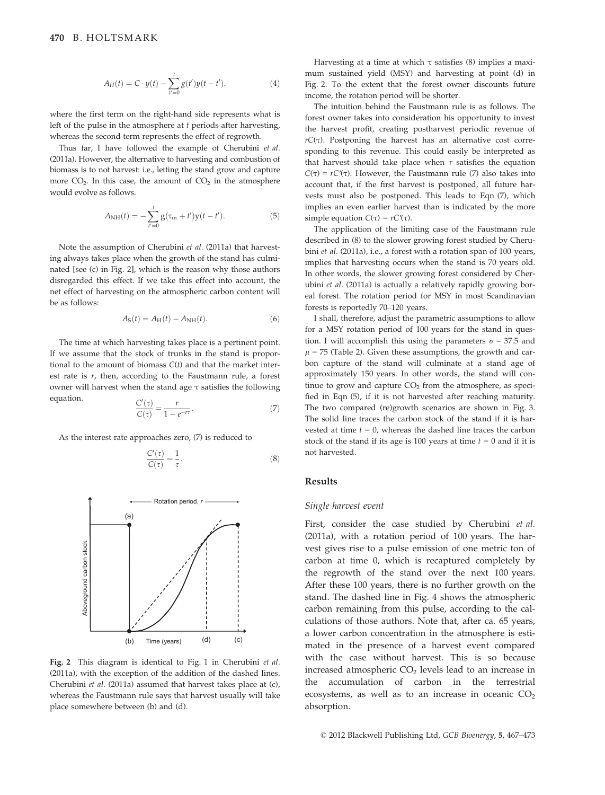$$
A_H(t) = C \cdot y(t) - \sum_{t'=0}^{t} g(t')y(t-t'),
$$
\n(4)

where the first term on the right-hand side represents what is left of the pulse in the atmosphere at  $t$  periods after harvesting, whereas the second term represents the effect of regrowth.

Thus far, I have followed the example of Cherubini et al. (2011a). However, the alternative to harvesting and combustion of biomass is to not harvest: i.e., letting the stand grow and capture more  $CO<sub>2</sub>$ . In this case, the amount of  $CO<sub>2</sub>$  in the atmosphere would evolve as follows.

$$
A_{\rm NH}(t) = -\sum_{t'=0}^{t} g(\tau_{\rm m} + t') y(t - t'). \tag{5}
$$

Note the assumption of Cherubini et al. (2011a) that harvesting always takes place when the growth of the stand has culminated [see (c) in Fig. 2], which is the reason why those authors disregarded this effect. If we take this effect into account, the net effect of harvesting on the atmospheric carbon content will be as follows:

$$
A_{\rm S}(t) = A_{\rm H}(t) - A_{\rm NH}(t). \tag{6}
$$

The time at which harvesting takes place is a pertinent point. If we assume that the stock of trunks in the stand is proportional to the amount of biomass  $C(t)$  and that the market interest rate is  $r$ , then, according to the Faustmann rule, a forest owner will harvest when the stand age  $\tau$  satisfies the following equation.  $\qquad \qquad \qquad \qquad$ 

$$
\frac{C'(\tau)}{C(\tau)} = \frac{r}{1 - e^{-r\tau}}.\tag{7}
$$

As the interest rate approaches zero, (7) is reduced to

$$
\frac{C'(\tau)}{C(\tau)} = \frac{1}{\tau}.
$$
\n(8)



Fig. 2 This diagram is identical to Fig. 1 in Cherubini et al. (2011a), with the exception of the addition of the dashed lines. Cherubini et al. (2011a) assumed that harvest takes place at (c), whereas the Faustmann rule says that harvest usually will take place somewhere between (b) and (d).

Harvesting at a time at which  $\tau$  satisfies (8) implies a maximum sustained yield (MSY) and harvesting at point (d) in Fig. 2. To the extent that the forest owner discounts future income, the rotation period will be shorter.

The intuition behind the Faustmann rule is as follows. The forest owner takes into consideration his opportunity to invest the harvest profit, creating postharvest periodic revenue of  $rC(\tau)$ . Postponing the harvest has an alternative cost corresponding to this revenue. This could easily be interpreted as that harvest should take place when  $\tau$  satisfies the equation C(τ) =  $rC'(\tau)$ . However, the Faustmann rule (7) also takes into account that, if the first harvest is postponed, all future harvests must also be postponed. This leads to Eqn (7), which implies an even earlier harvest than is indicated by the more simple equation  $C(\tau) = rC'(\tau)$ .

The application of the limiting case of the Faustmann rule described in (8) to the slower growing forest studied by Cherubini et al. (2011a), i.e., a forest with a rotation span of 100 years, implies that harvesting occurs when the stand is 70 years old. In other words, the slower growing forest considered by Cherubini et al. (2011a) is actually a relatively rapidly growing boreal forest. The rotation period for MSY in most Scandinavian forests is reportedly 70–120 years.

I shall, therefore, adjust the parametric assumptions to allow for a MSY rotation period of 100 years for the stand in question. I will accomplish this using the parameters  $\sigma = 37.5$  and  $\mu$  = 75 (Table 2). Given these assumptions, the growth and carbon capture of the stand will culminate at a stand age of approximately 150 years. In other words, the stand will continue to grow and capture  $CO<sub>2</sub>$  from the atmosphere, as specified in Eqn (5), if it is not harvested after reaching maturity. The two compared (re)growth scenarios are shown in Fig. 3. The solid line traces the carbon stock of the stand if it is harvested at time  $t = 0$ , whereas the dashed line traces the carbon stock of the stand if its age is 100 years at time  $t = 0$  and if it is not harvested.

#### Results

#### Single harvest event

First, consider the case studied by Cherubini et al. (2011a), with a rotation period of 100 years. The harvest gives rise to a pulse emission of one metric ton of carbon at time 0, which is recaptured completely by the regrowth of the stand over the next 100 years. After these 100 years, there is no further growth on the stand. The dashed line in Fig. 4 shows the atmospheric carbon remaining from this pulse, according to the calculations of those authors. Note that, after ca. 65 years, a lower carbon concentration in the atmosphere is estimated in the presence of a harvest event compared with the case without harvest. This is so because increased atmospheric  $CO<sub>2</sub>$  levels lead to an increase in the accumulation of carbon in the terrestrial ecosystems, as well as to an increase in oceanic  $CO<sub>2</sub>$ absorption.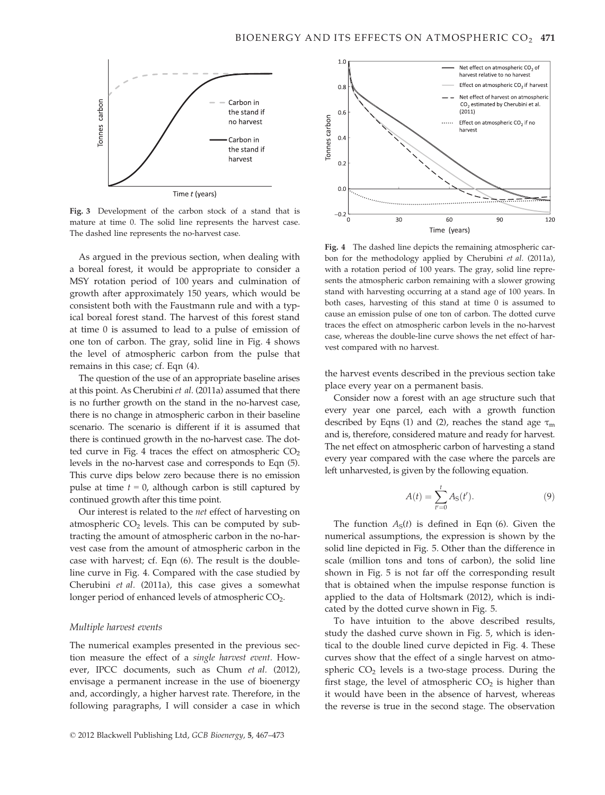

Fig. 3 Development of the carbon stock of a stand that is mature at time 0. The solid line represents the harvest case. The dashed line represents the no-harvest case.

As argued in the previous section, when dealing with a boreal forest, it would be appropriate to consider a MSY rotation period of 100 years and culmination of growth after approximately 150 years, which would be consistent both with the Faustmann rule and with a typical boreal forest stand. The harvest of this forest stand at time 0 is assumed to lead to a pulse of emission of one ton of carbon. The gray, solid line in Fig. 4 shows the level of atmospheric carbon from the pulse that remains in this case; cf. Eqn (4).

The question of the use of an appropriate baseline arises at this point. As Cherubini et al. (2011a) assumed that there is no further growth on the stand in the no-harvest case, there is no change in atmospheric carbon in their baseline scenario. The scenario is different if it is assumed that there is continued growth in the no-harvest case. The dotted curve in Fig. 4 traces the effect on atmospheric  $CO<sub>2</sub>$ levels in the no-harvest case and corresponds to Eqn (5). This curve dips below zero because there is no emission pulse at time  $t = 0$ , although carbon is still captured by continued growth after this time point.

Our interest is related to the net effect of harvesting on atmospheric  $CO<sub>2</sub>$  levels. This can be computed by subtracting the amount of atmospheric carbon in the no-harvest case from the amount of atmospheric carbon in the case with harvest; cf. Eqn (6). The result is the doubleline curve in Fig. 4. Compared with the case studied by Cherubini et al. (2011a), this case gives a somewhat longer period of enhanced levels of atmospheric CO<sub>2</sub>.

#### Multiple harvest events

The numerical examples presented in the previous section measure the effect of a single harvest event. However, IPCC documents, such as Chum et al. (2012), envisage a permanent increase in the use of bioenergy and, accordingly, a higher harvest rate. Therefore, in the following paragraphs, I will consider a case in which



Fig. 4 The dashed line depicts the remaining atmospheric carbon for the methodology applied by Cherubini et al. (2011a), with a rotation period of 100 years. The gray, solid line represents the atmospheric carbon remaining with a slower growing stand with harvesting occurring at a stand age of 100 years. In both cases, harvesting of this stand at time 0 is assumed to cause an emission pulse of one ton of carbon. The dotted curve traces the effect on atmospheric carbon levels in the no-harvest case, whereas the double-line curve shows the net effect of harvest compared with no harvest.

the harvest events described in the previous section take place every year on a permanent basis.

Consider now a forest with an age structure such that every year one parcel, each with a growth function described by Eqns (1) and (2), reaches the stand age  $\tau_m$ and is, therefore, considered mature and ready for harvest. The net effect on atmospheric carbon of harvesting a stand every year compared with the case where the parcels are left unharvested, is given by the following equation.

$$
A(t) = \sum_{t'=0}^{t} A_{\rm S}(t').
$$
 (9)

The function  $A_S(t)$  is defined in Eqn (6). Given the numerical assumptions, the expression is shown by the solid line depicted in Fig. 5. Other than the difference in scale (million tons and tons of carbon), the solid line shown in Fig. 5 is not far off the corresponding result that is obtained when the impulse response function is applied to the data of Holtsmark (2012), which is indicated by the dotted curve shown in Fig. 5.

To have intuition to the above described results, study the dashed curve shown in Fig. 5, which is identical to the double lined curve depicted in Fig. 4. These curves show that the effect of a single harvest on atmospheric  $CO<sub>2</sub>$  levels is a two-stage process. During the first stage, the level of atmospheric  $CO<sub>2</sub>$  is higher than it would have been in the absence of harvest, whereas the reverse is true in the second stage. The observation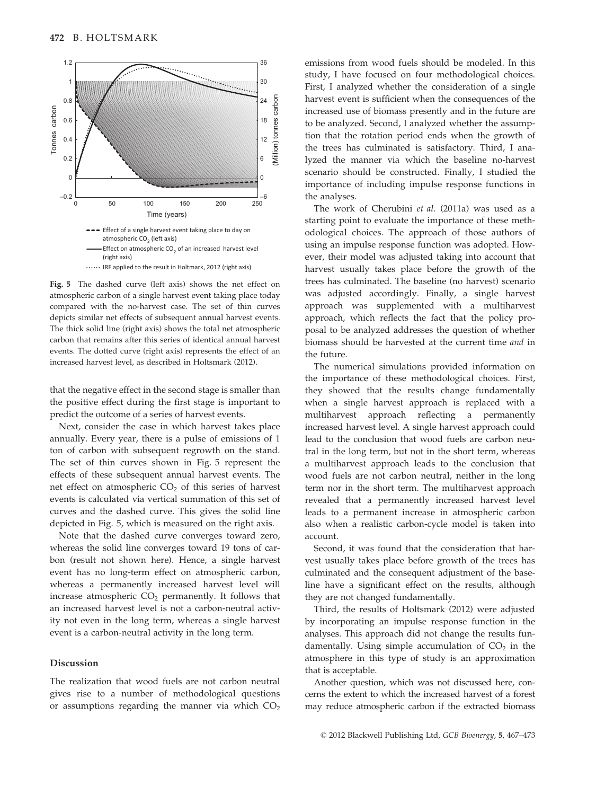

Fig. 5 The dashed curve (left axis) shows the net effect on atmospheric carbon of a single harvest event taking place today compared with the no-harvest case. The set of thin curves depicts similar net effects of subsequent annual harvest events. The thick solid line (right axis) shows the total net atmospheric carbon that remains after this series of identical annual harvest events. The dotted curve (right axis) represents the effect of an increased harvest level, as described in Holtsmark (2012).

that the negative effect in the second stage is smaller than the positive effect during the first stage is important to predict the outcome of a series of harvest events.

Next, consider the case in which harvest takes place annually. Every year, there is a pulse of emissions of 1 ton of carbon with subsequent regrowth on the stand. The set of thin curves shown in Fig. 5 represent the effects of these subsequent annual harvest events. The net effect on atmospheric  $CO<sub>2</sub>$  of this series of harvest events is calculated via vertical summation of this set of curves and the dashed curve. This gives the solid line depicted in Fig. 5, which is measured on the right axis.

Note that the dashed curve converges toward zero, whereas the solid line converges toward 19 tons of carbon (result not shown here). Hence, a single harvest event has no long-term effect on atmospheric carbon, whereas a permanently increased harvest level will increase atmospheric  $CO<sub>2</sub>$  permanently. It follows that an increased harvest level is not a carbon-neutral activity not even in the long term, whereas a single harvest event is a carbon-neutral activity in the long term.

### Discussion

The realization that wood fuels are not carbon neutral gives rise to a number of methodological questions or assumptions regarding the manner via which  $CO<sub>2</sub>$  emissions from wood fuels should be modeled. In this study, I have focused on four methodological choices. First, I analyzed whether the consideration of a single harvest event is sufficient when the consequences of the increased use of biomass presently and in the future are to be analyzed. Second, I analyzed whether the assumption that the rotation period ends when the growth of the trees has culminated is satisfactory. Third, I analyzed the manner via which the baseline no-harvest scenario should be constructed. Finally, I studied the importance of including impulse response functions in the analyses.

The work of Cherubini et al. (2011a) was used as a starting point to evaluate the importance of these methodological choices. The approach of those authors of using an impulse response function was adopted. However, their model was adjusted taking into account that harvest usually takes place before the growth of the trees has culminated. The baseline (no harvest) scenario was adjusted accordingly. Finally, a single harvest approach was supplemented with a multiharvest approach, which reflects the fact that the policy proposal to be analyzed addresses the question of whether biomass should be harvested at the current time and in the future.

The numerical simulations provided information on the importance of these methodological choices. First, they showed that the results change fundamentally when a single harvest approach is replaced with a multiharvest approach reflecting a permanently increased harvest level. A single harvest approach could lead to the conclusion that wood fuels are carbon neutral in the long term, but not in the short term, whereas a multiharvest approach leads to the conclusion that wood fuels are not carbon neutral, neither in the long term nor in the short term. The multiharvest approach revealed that a permanently increased harvest level leads to a permanent increase in atmospheric carbon also when a realistic carbon-cycle model is taken into account.

Second, it was found that the consideration that harvest usually takes place before growth of the trees has culminated and the consequent adjustment of the baseline have a significant effect on the results, although they are not changed fundamentally.

Third, the results of Holtsmark (2012) were adjusted by incorporating an impulse response function in the analyses. This approach did not change the results fundamentally. Using simple accumulation of  $CO<sub>2</sub>$  in the atmosphere in this type of study is an approximation that is acceptable.

Another question, which was not discussed here, concerns the extent to which the increased harvest of a forest may reduce atmospheric carbon if the extracted biomass